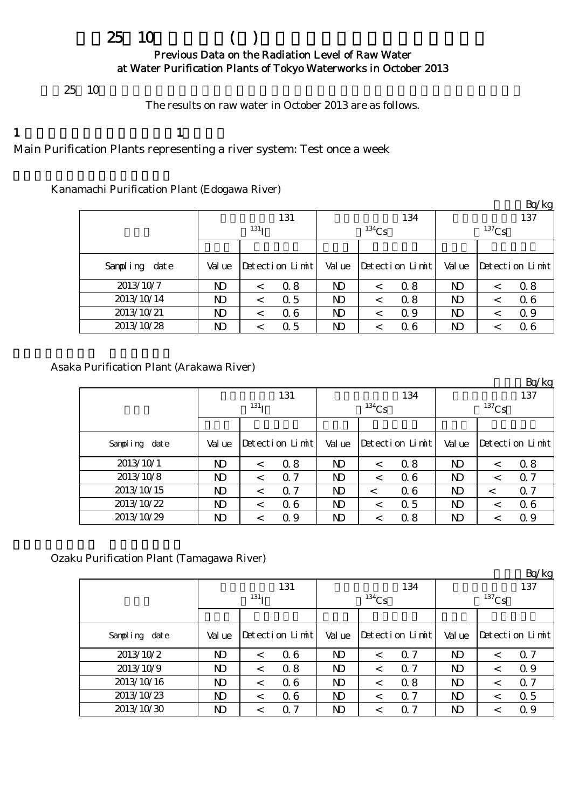# $25 \t10$  ( )

### Previous Data on the Radiation Level of Raw Water at Water Purification Plants of Tokyo Waterworks in October 2013

 $25 \t10$ 

The results on raw water in October 2013 are as follows.

1  $\qquad \qquad 1$ 

Main Purification Plants representing a river system: Test once a week

## Kanamachi Purification Plant (Edogawa River)

|               |        |                  |                      |                |          |                   |          |         | Bq/kg           |  |  |
|---------------|--------|------------------|----------------------|----------------|----------|-------------------|----------|---------|-----------------|--|--|
|               |        |                  | 131                  |                |          | 134               | 137      |         |                 |  |  |
|               |        | 131 <sub>T</sub> |                      |                | $134$ Cs |                   | $137$ Cs |         |                 |  |  |
|               |        |                  |                      |                |          |                   |          |         |                 |  |  |
| Sampling date | Val ue |                  | $Detecti$ on $Limit$ | Val ue         |          | Detection $Limit$ | Val ue   |         | Detection Limit |  |  |
| 2013/10/7     | ND     | $\,<\,$          | 0.8                  | ND             |          | 0.8               | ND       |         | 0.8             |  |  |
| 2013/10/14    | ND     | $\,<\,$          | 0.5                  | N <sub>D</sub> |          | 0.8               | ND       | $\,<\,$ | 0.6             |  |  |
| 2013/10/21    | ND     |                  | 06                   | ND             |          | 0.9               | ND       | <       | 0.9             |  |  |
| 2013/10/28    | ND     |                  | 0.5                  | ND             |          | 06                | ND       |         | 0.6             |  |  |

Asaka Purification Plant (Arakawa River)

|               |                |                  |                 |        |          |                 |              |          | DQ/Kg                |  |  |
|---------------|----------------|------------------|-----------------|--------|----------|-----------------|--------------|----------|----------------------|--|--|
|               |                |                  | 131             |        |          | 134             | 137          |          |                      |  |  |
|               |                | 131 <sub>T</sub> |                 |        | $134$ Cs |                 |              | $137$ Cs |                      |  |  |
|               |                |                  |                 |        |          |                 |              |          |                      |  |  |
| Sampling date | Val ue         |                  | Detection Limit | Val ue |          | Detection Limit | Val ue       |          | $Detecti$ on $Limit$ |  |  |
| 2013/10/1     | N <sub>D</sub> | $\,<\,$          | 0.8             | ND     |          | 0.8             | $\mathbf{D}$ | $\,<\,$  | 0.8                  |  |  |
| 2013/10/8     | N <sub>D</sub> | $\,<\,$          | 0.7             | ND     | $\,<\,$  | 06              | $\mathbf{D}$ | $\,<\,$  | Q <sub>7</sub>       |  |  |
| 2013/10/15    | N <sub>D</sub> | $\,<\,$          | $\alpha$ 7      | ND     |          | 06              | $\mathbf{D}$ | $\,<\,$  | Q <sub>7</sub>       |  |  |
| 2013/10/22    | N <sub>D</sub> | $\,<\,$          | 06              | ND     | $\,<\,$  | 0.5             | $\mathbf{D}$ | $\,<\,$  | 06                   |  |  |
| 2013/10/29    | ND             |                  | 0.9             | ND     |          | 0.8             | ND           | <        | Q 9                  |  |  |

Ozaku Purification Plant (Tamagawa River)

|               |                |            |                 |        |          |                 |                |         | Bq/kg           |  |  |
|---------------|----------------|------------|-----------------|--------|----------|-----------------|----------------|---------|-----------------|--|--|
|               |                |            | 131             |        |          | 134             | 137            |         |                 |  |  |
|               |                | $^{131}$ I |                 |        | $134$ Cs |                 | $137$ Cs       |         |                 |  |  |
|               |                |            |                 |        |          |                 |                |         |                 |  |  |
| Sampling date | Val ue         |            | Detection Limit | Val ue |          | Detection Limit | Val ue         |         | Detection Limit |  |  |
| 2013/10/2     | N <sub>D</sub> | $\,<\,$    | 06              | ND     | $\,<\,$  | $\alpha$ 7      | ND             | $\,<\,$ | 0.7             |  |  |
| 2013/10/9     | N <sub>D</sub> | $\,<\,$    | 0.8             | ND     | $\,<\,$  | 0.7             | ND             | $\lt$   | 0.9             |  |  |
| 2013/10/16    | N)             | $\,<\,$    | 06              | ND     | $\,<\,$  | 0.8             | ND             | $\,<\,$ | 0.7             |  |  |
| 2013/10/23    | N)             | $\,<\,$    | 06              | ND     |          | 0.7             | N <sub>D</sub> | $\,<\,$ | 0.5             |  |  |
| 2013/10/30    | N <sub>D</sub> | $\,<\,$    | 7<br>Ω.         | ND     |          | Q 7             | ND             | $\,<\,$ | 0.9             |  |  |

 $Rg/kg$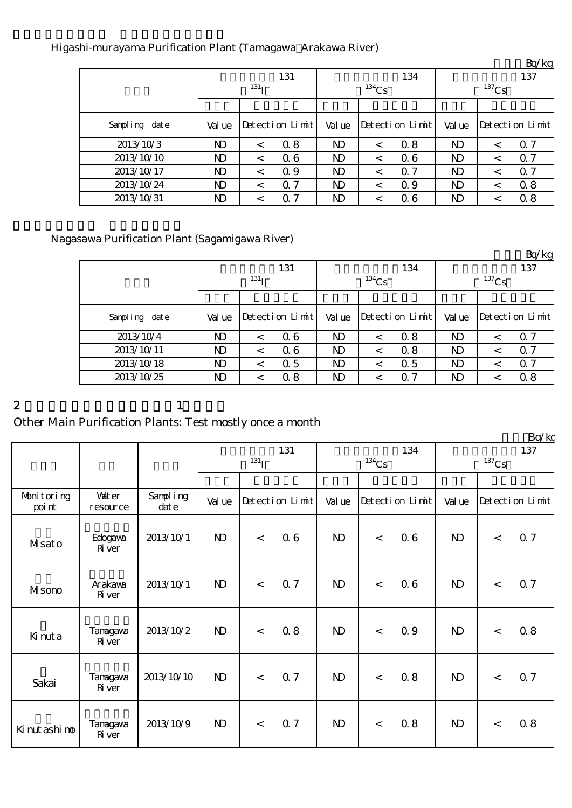| Higashi-murayama Purification Plant (Tamagawa Arakawa River) |  |  |
|--------------------------------------------------------------|--|--|
|                                                              |  |  |
|                                                              |  |  |

|               |              |                  |                 |                |          |                      |          |   | $L_V$ $R_S$     |  |
|---------------|--------------|------------------|-----------------|----------------|----------|----------------------|----------|---|-----------------|--|
|               |              |                  | 131             |                |          | 137                  |          |   |                 |  |
|               |              | 131 <sub>T</sub> |                 |                | $134$ Cs |                      | $137$ Cs |   |                 |  |
|               |              |                  |                 |                |          |                      |          |   |                 |  |
| Sampling date | Val ue       |                  | Detection Limit | Val ue         |          | $Detecti$ on $Limit$ | Val ue   |   | Detection Limit |  |
| 2013/10/3     | $\mathbf{D}$ |                  | 0.8             | ND             |          | 0.8                  | ND       | < | Q <sub>7</sub>  |  |
| 2013/10/10    | $\mathbf{D}$ | $\,<\,$          | 06              | N <sub>D</sub> | <        | 06                   | ND       | < | 0.7             |  |
| 2013/10/17    | ND           | $\,<\,$          | 0.9             | N <sub>D</sub> |          | Q 7                  | ND       | < | 0.7             |  |
| 2013/10/24    | ND           |                  | 0. 7            | $\mathbf{D}$   |          | 0.9                  | ND       | < | 0.8             |  |
| 2013/10/31    | ND           |                  | 0<br>-7         | ND             |          | 06                   | ND       |   | 0.8             |  |

# Nagasawa Purification Plant (Sagamigawa River)

|               |                |                  |                 |        |          |                      |              |         | Bq/kg                |  |
|---------------|----------------|------------------|-----------------|--------|----------|----------------------|--------------|---------|----------------------|--|
|               |                |                  | 131             |        |          | 134                  |              |         | 137                  |  |
|               |                | 131 <sub>T</sub> |                 |        | $134$ Cs |                      | $137$ Cs     |         |                      |  |
|               |                |                  |                 |        |          |                      |              |         |                      |  |
| Sampling date | Val ue         |                  | Detection Limit | Val ue |          | $Detecti$ on $Limit$ | Val ue       |         | $Detecti$ on $Limit$ |  |
| 2013/10/4     | ND             | $\,<\,$          | 06              | ND     |          | 0.8                  | $\mathbf{D}$ | $\,<\,$ | Q <sub>7</sub>       |  |
| 2013/10/11    | ND             | $\,<\,$          | 06              | ND     |          | 0.8                  | $\mathbf{D}$ | $\,<\,$ | Q <sub>7</sub>       |  |
| 2013/10/18    | N <sub>D</sub> | $\,<\,$          | 0.5             | ND     | $\,<\,$  | 0.5                  | $\mathbf{D}$ | $\lt$   | 0.7                  |  |
| 2013/10/25    | ND             | $\,<\,$          | 0.8             | ND     |          | $\alpha$ 7           | $\mathbf{D}$ | $\,<\,$ | 0.8                  |  |

#### 2 and  $\lambda$  1

# Other Main Purification Plants: Test mostly once a month

|                      |                           |                      |                           |       |                 |              |          |                 |                 |         | Bq/kg           |
|----------------------|---------------------------|----------------------|---------------------------|-------|-----------------|--------------|----------|-----------------|-----------------|---------|-----------------|
|                      |                           |                      | 131<br>$131$ <sup>T</sup> |       |                 |              | $134$ Cs | 134             | 137<br>$137$ Cs |         |                 |
|                      |                           |                      |                           |       |                 |              |          |                 |                 |         |                 |
| Monitoring<br>poi nt | <b>Vater</b><br>resource  | Sampling<br>$\det e$ | Val ue                    |       | Detection Limit | Val ue       |          | Detection Limit | Val ue          |         | Detection Limit |
| Masato               | Edogava<br>River          | 2013/10/1            | $\mathbf{D}$              | $\lt$ | 06              | $\mathbf{D}$ | $\lt$    | 0.6             | $\mathbf{D}$    | $\,<\,$ | 0.7             |
| MIsono               | Arakawa<br><b>R</b> iver  | 2013/10/1            | $\mathbf{D}$              | $\lt$ | 0.7             | $\mathbf{D}$ | $\lt$    | 0.6             | $\mathbf{D}$    | $\lt$   | 0.7             |
| Kinuta               | Tanagawa<br><b>R</b> iver | 2013/10/2            | $\mathbf{D}$              | $\lt$ | 0.8             | $\mathbf{D}$ | $\lt$    | 0.9             | $\mathbf{D}$    | $\lt$   | 0.8             |
| Sakai                | Tanagawa<br><b>R</b> iver | 2013/10/10           | $\mathbf{D}$              | $\lt$ | 0.7             | $\mathbf{D}$ | $\prec$  | 0.8             | $\mathbf{D}$    | $\lt$   | 0.7             |
| Ki nut ashi no       | Tanagawa<br>River         | 2013/10/9            | $\mathbf{D}$              | $\lt$ | Q 7             | $\mathbf{D}$ | $\lt$    | 0.8             | $\mathbf{D}$    | $\lt$   | 0.8             |

 $Rn/kg$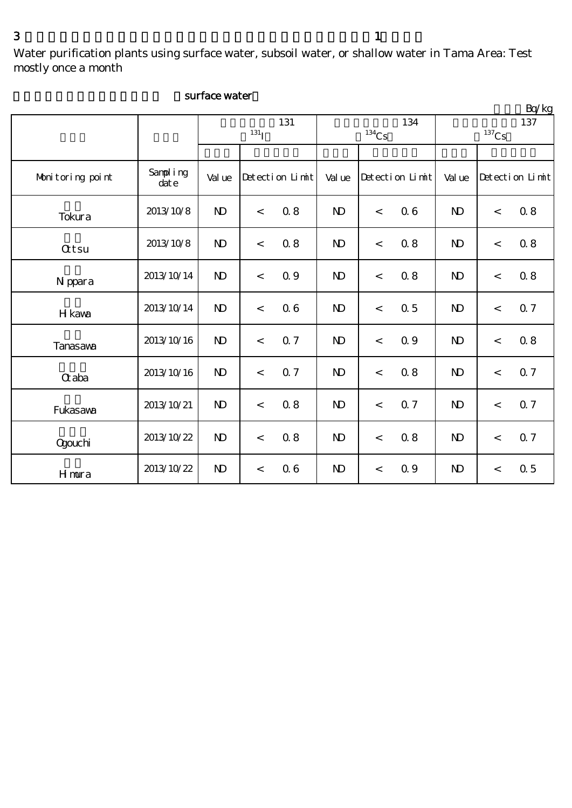Water purification plants using surface water, subsoil water, or shallow water in Tama Area: Test

mostly once a month

|                  |                  |                |                  |                 |                |                            |                 |                |                            | Bq/kg           |  |
|------------------|------------------|----------------|------------------|-----------------|----------------|----------------------------|-----------------|----------------|----------------------------|-----------------|--|
|                  |                  |                | 131 <sub>I</sub> | 131             |                | 134<br>$^{134}\mathrm{Cs}$ |                 |                | 137<br>$^{137}\mathrm{Cs}$ |                 |  |
|                  |                  |                |                  |                 |                |                            |                 |                |                            |                 |  |
| Monitoring point | Sampling<br>date | Val ue         |                  | Detection Limit | Val ue         |                            | Detection Limit | Val ue         |                            | Detection Limit |  |
| Tokura           | 2013/10/8        | $\mathbf{D}$   | $\,<$            | 0.8             | $\mathbf{D}$   | $\,<$                      | 0.6             | $\mathbf{D}$   | $\,<$                      | 0.8             |  |
| <b>Qtsu</b>      | 2013/10/8        | $\mathbf{D}$   | $\,<\,$          | 0.8             | $\mathbf{D}$   | $\,<$                      | 0.8             | $\mathbf{D}$   | $\,<$                      | 0.8             |  |
| N ppara          | 2013/10/14       | N <sub>D</sub> | $\,<$            | 0.9             | N <sub>D</sub> | $\,<\,$                    | 0.8             | $\mathbf{D}$   | $\,<$                      | 0.8             |  |
| H kawa           | 2013/10/14       | N <sub>D</sub> | $\,<\,$          | 0.6             | N <sub>D</sub> | $\,<$                      | 0.5             | $\mathbf{N}$   | $\,<$                      | 0.7             |  |
| <b>Tanasava</b>  | 2013/10/16       | $\mathbf{D}$   | $\lt$            | 0.7             | $\mathbf{D}$   | $\lt$                      | 0.9             | $\mathbf{D}$   | $\lt$                      | 0.8             |  |
| $\alpha$ aba     | 2013/10/16       | $\mathbf{D}$   | $\,<\,$          | $0.7\,$         | $\mathbf{N}$   | $\,<$                      | 0.8             | N <sub>D</sub> | $\,<$                      | 0.7             |  |
| Fukasawa         | 2013/10/21       | $\mathbf{D}$   | $\,<\,$          | 0.8             | $\mathbf{D}$   | $\,<$                      | 0.7             | $\mathbf{D}$   | $\,<$                      | 0.7             |  |
| <b>Ogouchi</b>   | 2013/10/22       | $\mathbf{D}$   | $\,<$            | 0.8             | $\mathbf{N}$   | $\,<$                      | 0.8             | $\mathbf{D}$   | $\,<$                      | 0.7             |  |
| <b>H</b> mura    | 2013/10/22       | $\mathbf{D}$   | $\,<\,$          | 0.6             | $\mathbf{D}$   | $\,<$                      | 0.9             | $\mathbf{D}$   | $\overline{\phantom{a}}$   | 0.5             |  |

#### surface water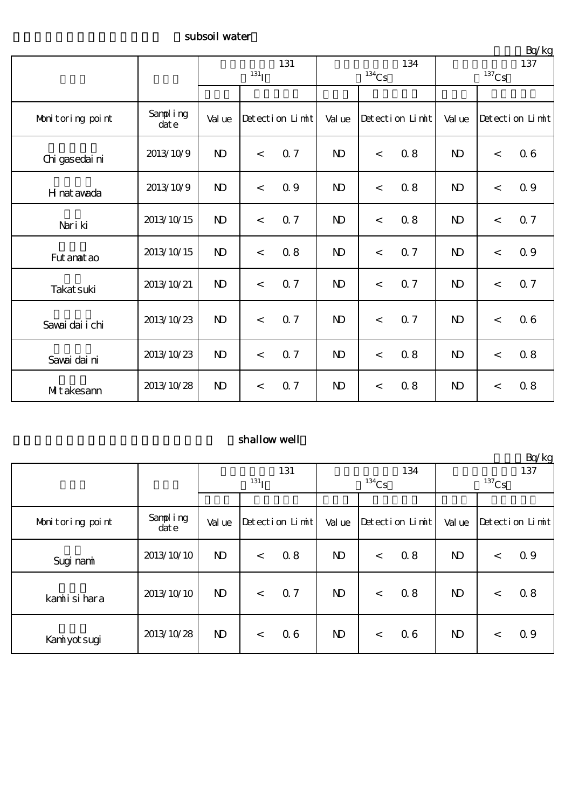#### subsoil water

|                   |                  | 131<br>$131$ <sub>I</sub> |         |                 | $^{134}\mathrm{Cs}$ | 134     | $-4.5$<br>137<br>$137$ Cs |              |       |                 |
|-------------------|------------------|---------------------------|---------|-----------------|---------------------|---------|---------------------------|--------------|-------|-----------------|
|                   |                  |                           |         |                 |                     |         |                           |              |       |                 |
| Monitoring point  | Sampling<br>date | Val ue                    |         | Detection Limit | Val ue              |         | Detection Limit           | Val ue       |       | Detection Limit |
| Chi gasedai ni    | 2013/10/9        | $\mathbf{D}$              | $\,<\,$ | 0.7             | $\mathbf{D}$        | $\prec$ | 0.8                       | $\mathbf{D}$ | $\lt$ | 0.6             |
| H nat awada       | 2013/10/9        | $\mathbf{N}$              | $\,<\,$ | 0.9             | $\mathbf{D}$        | $\,<$   | 0.8                       | $\mathbf{D}$ | $\lt$ | 0.9             |
| Nari ki           | 2013/10/15       | $\mathbf{N}$              | $\,<$   | 0.7             | $\mathbf{D}$        | $\,<$   | 0.8                       | $\mathbf{D}$ | $\,<$ | 0.7             |
| Fut anat ao       | 2013/10/15       | $\mathbf{D}$              | $\prec$ | 0.8             | $\mathbf{D}$        | $\,<$   | 0.7                       | $\mathbf{D}$ | $\lt$ | 0.9             |
| Takat suki        | 2013/10/21       | $\mathbf{D}$              | $\lt$   | 0.7             | $\mathbf{D}$        | $\,<$   | 0.7                       | $\mathbf{D}$ | $\,<$ | 0.7             |
| Savai dai i chi   | 2013/10/23       | $\mathbf{D}$              | $\,<\,$ | 0.7             | $\mathbf{D}$        | $\lt$   | 0.7                       | $\mathbf{D}$ | $\,<$ | 0.6             |
| Savai dai ni      | 2013/10/23       | $\mathbf{D}$              | $\lt$   | 0.7             | $\mathbf{D}$        | $\lt$   | 0.8                       | $\mathbf{D}$ | $\lt$ | 0.8             |
| <b>Mt</b> akesann | 2013/10/28       | $\mathbf{D}$              | $\,<\,$ | 0.7             | $\mathbf{D}$        | $\,<\,$ | 0.8                       | $\mathbf{D}$ | $\lt$ | 0.8             |

## shallow well

|                  |                  |                  |         |                 |              |          |                 |                       |       | Bq/kg           |
|------------------|------------------|------------------|---------|-----------------|--------------|----------|-----------------|-----------------------|-------|-----------------|
|                  |                  |                  |         | 131             |              |          | 134             | 137                   |       |                 |
|                  |                  | 131 <sub>I</sub> |         |                 |              | $134$ Cs |                 | ${}^{137}\mathrm{Cs}$ |       |                 |
|                  |                  |                  |         |                 |              |          |                 |                       |       |                 |
| Monitoring point | Sampling<br>date | Val ue           |         | Detection Limit | Val ue       |          | Detection Limit | Val ue                |       | Detection Limit |
| Sugi nami        | 2013/10/10       | $\mathbf{D}$     | $\,<\,$ | 0.8             | $\mathbf{D}$ | $\lt$    | 0.8             | $\mathbf{D}$          | $\lt$ | 0.9             |
| kamiisi hara     | 2013/10/10       | $\mathbf{D}$     | $\lt$   | 0.7             | $\mathbf{D}$ | $\lt$    | 0.8             | $\mathbf{D}$          | $\,<$ | 0.8             |
| Kaniyot sugi     | 2013/10/28       | $\mathbf{D}$     | $\lt$   | 06              | $\mathbf{D}$ | $\lt$    | 0.6             | $\mathbf{D}$          | $\lt$ | 0.9             |

 $Rn/kg$